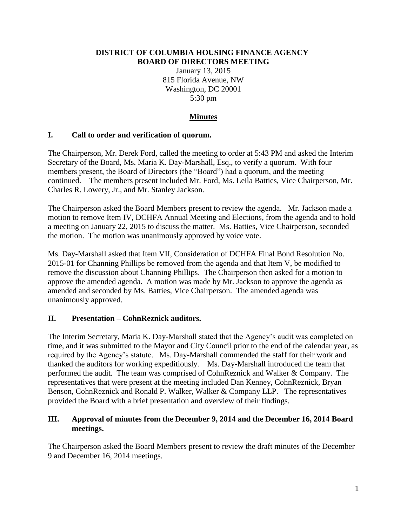#### **DISTRICT OF COLUMBIA HOUSING FINANCE AGENCY BOARD OF DIRECTORS MEETING**

January 13, 2015 815 Florida Avenue, NW Washington, DC 20001 5:30 pm

## **Minutes**

## **I. Call to order and verification of quorum.**

The Chairperson, Mr. Derek Ford, called the meeting to order at 5:43 PM and asked the Interim Secretary of the Board, Ms. Maria K. Day-Marshall, Esq., to verify a quorum. With four members present, the Board of Directors (the "Board") had a quorum, and the meeting continued. The members present included Mr. Ford, Ms. Leila Batties, Vice Chairperson, Mr. Charles R. Lowery, Jr., and Mr. Stanley Jackson.

The Chairperson asked the Board Members present to review the agenda. Mr. Jackson made a motion to remove Item IV, DCHFA Annual Meeting and Elections, from the agenda and to hold a meeting on January 22, 2015 to discuss the matter. Ms. Batties, Vice Chairperson, seconded the motion. The motion was unanimously approved by voice vote.

Ms. Day-Marshall asked that Item VII, Consideration of DCHFA Final Bond Resolution No. 2015-01 for Channing Phillips be removed from the agenda and that Item V, be modified to remove the discussion about Channing Phillips. The Chairperson then asked for a motion to approve the amended agenda. A motion was made by Mr. Jackson to approve the agenda as amended and seconded by Ms. Batties, Vice Chairperson. The amended agenda was unanimously approved.

## **II. Presentation – CohnReznick auditors.**

The Interim Secretary, Maria K. Day-Marshall stated that the Agency's audit was completed on time, and it was submitted to the Mayor and City Council prior to the end of the calendar year, as required by the Agency's statute. Ms. Day-Marshall commended the staff for their work and thanked the auditors for working expeditiously. Ms. Day-Marshall introduced the team that performed the audit. The team was comprised of CohnReznick and Walker & Company. The representatives that were present at the meeting included Dan Kenney, CohnReznick, Bryan Benson, CohnReznick and Ronald P. Walker, Walker & Company LLP. The representatives provided the Board with a brief presentation and overview of their findings.

## **III. Approval of minutes from the December 9, 2014 and the December 16, 2014 Board meetings.**

The Chairperson asked the Board Members present to review the draft minutes of the December 9 and December 16, 2014 meetings.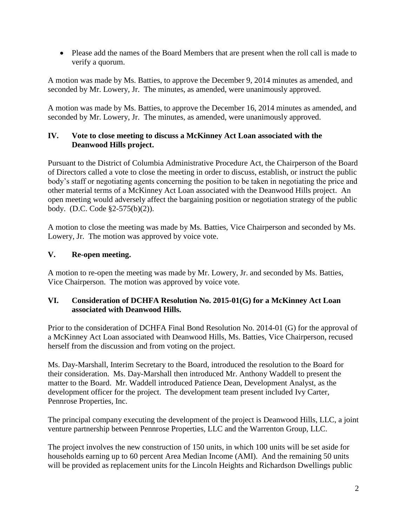• Please add the names of the Board Members that are present when the roll call is made to verify a quorum.

A motion was made by Ms. Batties, to approve the December 9, 2014 minutes as amended, and seconded by Mr. Lowery, Jr. The minutes, as amended, were unanimously approved.

A motion was made by Ms. Batties, to approve the December 16, 2014 minutes as amended, and seconded by Mr. Lowery, Jr. The minutes, as amended, were unanimously approved.

## **IV. Vote to close meeting to discuss a McKinney Act Loan associated with the Deanwood Hills project.**

Pursuant to the District of Columbia Administrative Procedure Act, the Chairperson of the Board of Directors called a vote to close the meeting in order to discuss, establish, or instruct the public body's staff or negotiating agents concerning the position to be taken in negotiating the price and other material terms of a McKinney Act Loan associated with the Deanwood Hills project. An open meeting would adversely affect the bargaining position or negotiation strategy of the public body. (D.C. Code §2-575(b)(2)).

A motion to close the meeting was made by Ms. Batties, Vice Chairperson and seconded by Ms. Lowery, Jr. The motion was approved by voice vote.

## **V. Re-open meeting.**

A motion to re-open the meeting was made by Mr. Lowery, Jr. and seconded by Ms. Batties, Vice Chairperson. The motion was approved by voice vote.

## **VI. Consideration of DCHFA Resolution No. 2015-01(G) for a McKinney Act Loan associated with Deanwood Hills.**

Prior to the consideration of DCHFA Final Bond Resolution No. 2014-01 (G) for the approval of a McKinney Act Loan associated with Deanwood Hills, Ms. Batties, Vice Chairperson, recused herself from the discussion and from voting on the project.

Ms. Day-Marshall, Interim Secretary to the Board, introduced the resolution to the Board for their consideration. Ms. Day-Marshall then introduced Mr. Anthony Waddell to present the matter to the Board. Mr. Waddell introduced Patience Dean, Development Analyst, as the development officer for the project. The development team present included Ivy Carter, Pennrose Properties, Inc.

The principal company executing the development of the project is Deanwood Hills, LLC, a joint venture partnership between Pennrose Properties, LLC and the Warrenton Group, LLC.

The project involves the new construction of 150 units, in which 100 units will be set aside for households earning up to 60 percent Area Median Income (AMI). And the remaining 50 units will be provided as replacement units for the Lincoln Heights and Richardson Dwellings public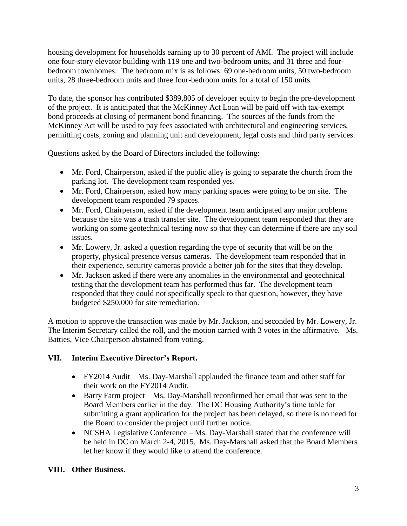housing development for households earning up to 30 percent of AMI. The project will include one four-story elevator building with 119 one and two-bedroom units, and 31 three and fourbedroom townhomes. The bedroom mix is as follows: 69 one-bedroom units, 50 two-bedroom units, 28 three-bedroom units and three four-bedroom units for a total of 150 units.

To date, the sponsor has contributed \$389,805 of developer equity to begin the pre-development of the project. It is anticipated that the McKinney Act Loan will be paid off with tax-exempt bond proceeds at closing of permanent bond financing. The sources of the funds from the McKinney Act will be used to pay fees associated with architectural and engineering services, permitting costs, zoning and planning unit and development, legal costs and third party services.

Questions asked by the Board of Directors included the following:

- Mr. Ford, Chairperson, asked if the public alley is going to separate the church from the parking lot. The development team responded yes.
- Mr. Ford, Chairperson, asked how many parking spaces were going to be on site. The development team responded 79 spaces.
- Mr. Ford, Chairperson, asked if the development team anticipated any major problems because the site was a trash transfer site. The development team responded that they are working on some geotechnical testing now so that they can determine if there are any soil issues.
- Mr. Lowery, Jr. asked a question regarding the type of security that will be on the property, physical presence versus cameras. The development team responded that in their experience, security cameras provide a better job for the sites that they develop.
- Mr. Jackson asked if there were any anomalies in the environmental and geotechnical testing that the development team has performed thus far. The development team responded that they could not specifically speak to that question, however, they have budgeted \$250,000 for site remediation.

A motion to approve the transaction was made by Mr. Jackson, and seconded by Mr. Lowery, Jr. The Interim Secretary called the roll, and the motion carried with 3 votes in the affirmative. Ms. Batties, Vice Chairperson abstained from voting.

# **VII. Interim Executive Director's Report.**

- FY2014 Audit Ms. Day-Marshall applauded the finance team and other staff for their work on the FY2014 Audit.
- Barry Farm project Ms. Day-Marshall reconfirmed her email that was sent to the Board Members earlier in the day. The DC Housing Authority's time table for submitting a grant application for the project has been delayed, so there is no need for the Board to consider the project until further notice.
- NCSHA Legislative Conference Ms. Day-Marshall stated that the conference will be held in DC on March 2-4, 2015. Ms. Day-Marshall asked that the Board Members let her know if they would like to attend the conference.

## **VIII. Other Business.**